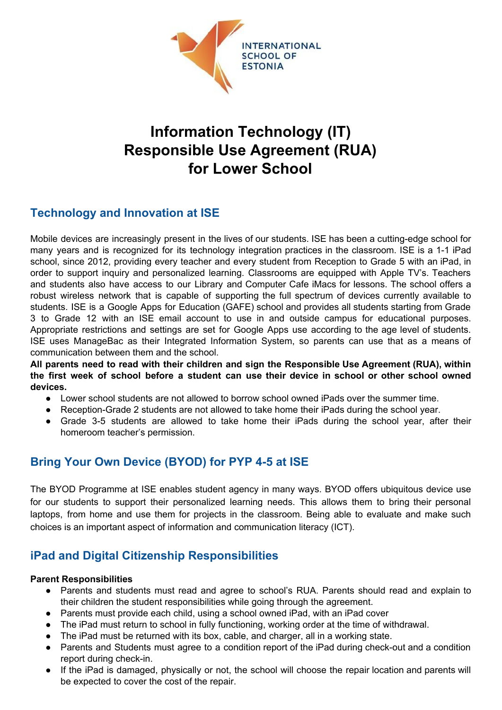

# **Information Technology (IT) Responsible Use Agreement (RUA) for Lower School**

# **Technology and Innovation at ISE**

Mobile devices are increasingly present in the lives of our students. ISE has been a cutting-edge school for many years and is recognized for its technology integration practices in the classroom. ISE is a 1-1 iPad school, since 2012, providing every teacher and every student from Reception to Grade 5 with an iPad, in order to support inquiry and personalized learning. Classrooms are equipped with Apple TV's. Teachers and students also have access to our Library and Computer Cafe iMacs for lessons. The school offers a robust wireless network that is capable of supporting the full spectrum of devices currently available to students. ISE is a Google Apps for Education (GAFE) school and provides all students starting from Grade 3 to Grade 12 with an ISE email account to use in and outside campus for educational purposes. Appropriate restrictions and settings are set for Google Apps use according to the age level of students. ISE uses ManageBac as their Integrated Information System, so parents can use that as a means of communication between them and the school.

**All parents need to read with their children and sign the Responsible Use Agreement (RUA), within the first week of school before a student can use their device in school or other school owned devices.**

- Lower school students are not allowed to borrow school owned iPads over the summer time.
- Reception-Grade 2 students are not allowed to take home their iPads during the school year.
- Grade 3-5 students are allowed to take home their iPads during the school year, after their homeroom teacher's permission.

# **Bring Your Own Device (BYOD) for PYP 4-5 at ISE**

The BYOD Programme at ISE enables student agency in many ways. BYOD offers ubiquitous device use for our students to support their personalized learning needs. This allows them to bring their personal laptops, from home and use them for projects in the classroom. Being able to evaluate and make such choices is an important aspect of information and communication literacy (ICT).

## **iPad and Digital Citizenship Responsibilities**

#### **Parent Responsibilities**

- Parents and students must read and agree to school's RUA. Parents should read and explain to their children the student responsibilities while going through the agreement.
- Parents must provide each child, using a school owned iPad, with an iPad cover
- The iPad must return to school in fully functioning, working order at the time of withdrawal.
- The iPad must be returned with its box, cable, and charger, all in a working state.
- Parents and Students must agree to a condition report of the iPad during check-out and a condition report during check-in.
- If the iPad is damaged, physically or not, the school will choose the repair location and parents will be expected to cover the cost of the repair.